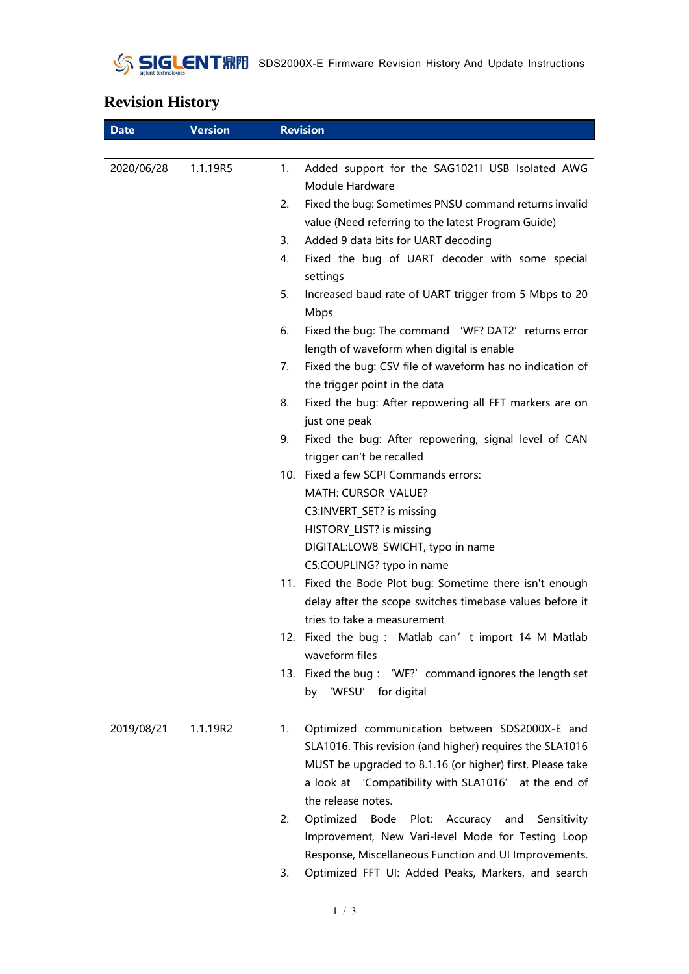## **Revision History**

| <b>Date</b> | <b>Version</b> | <b>Revision</b>                                                                                                   |
|-------------|----------------|-------------------------------------------------------------------------------------------------------------------|
|             |                |                                                                                                                   |
| 2020/06/28  | 1.1.19R5       | 1.<br>Added support for the SAG1021I USB Isolated AWG<br>Module Hardware                                          |
|             |                | 2.<br>Fixed the bug: Sometimes PNSU command returns invalid<br>value (Need referring to the latest Program Guide) |
|             |                | Added 9 data bits for UART decoding<br>3.                                                                         |
|             |                | Fixed the bug of UART decoder with some special<br>4.                                                             |
|             |                | settings                                                                                                          |
|             |                | 5.<br>Increased baud rate of UART trigger from 5 Mbps to 20<br><b>Mbps</b>                                        |
|             |                | Fixed the bug: The command 'WF? DAT2' returns error<br>6.<br>length of waveform when digital is enable            |
|             |                | Fixed the bug: CSV file of waveform has no indication of<br>7.                                                    |
|             |                | the trigger point in the data                                                                                     |
|             |                | 8.<br>Fixed the bug: After repowering all FFT markers are on                                                      |
|             |                | just one peak<br>Fixed the bug: After repowering, signal level of CAN<br>9.                                       |
|             |                | trigger can't be recalled                                                                                         |
|             |                | 10. Fixed a few SCPI Commands errors:                                                                             |
|             |                | MATH: CURSOR_VALUE?                                                                                               |
|             |                | C3:INVERT SET? is missing                                                                                         |
|             |                | HISTORY_LIST? is missing                                                                                          |
|             |                | DIGITAL:LOW8_SWICHT, typo in name                                                                                 |
|             |                | C5:COUPLING? typo in name                                                                                         |
|             |                | 11. Fixed the Bode Plot bug: Sometime there isn't enough                                                          |
|             |                | delay after the scope switches timebase values before it                                                          |
|             |                | tries to take a measurement                                                                                       |
|             |                | 12. Fixed the bug: Matlab can't import 14 M Matlab                                                                |
|             |                | waveform files                                                                                                    |
|             |                | 13. Fixed the bug: 'WF?' command ignores the length set                                                           |
|             |                | 'WFSU' for digital<br>by                                                                                          |
| 2019/08/21  | 1.1.19R2       | 1.<br>Optimized communication between SDS2000X-E and                                                              |
|             |                | SLA1016. This revision (and higher) requires the SLA1016                                                          |
|             |                | MUST be upgraded to 8.1.16 (or higher) first. Please take                                                         |
|             |                | a look at 'Compatibility with SLA1016' at the end of                                                              |
|             |                | the release notes.                                                                                                |
|             |                | 2.<br>Optimized<br>Bode Plot: Accuracy and<br>Sensitivity                                                         |
|             |                | Improvement, New Vari-level Mode for Testing Loop                                                                 |
|             |                | Response, Miscellaneous Function and UI Improvements.                                                             |
|             |                | Optimized FFT UI: Added Peaks, Markers, and search<br>3.                                                          |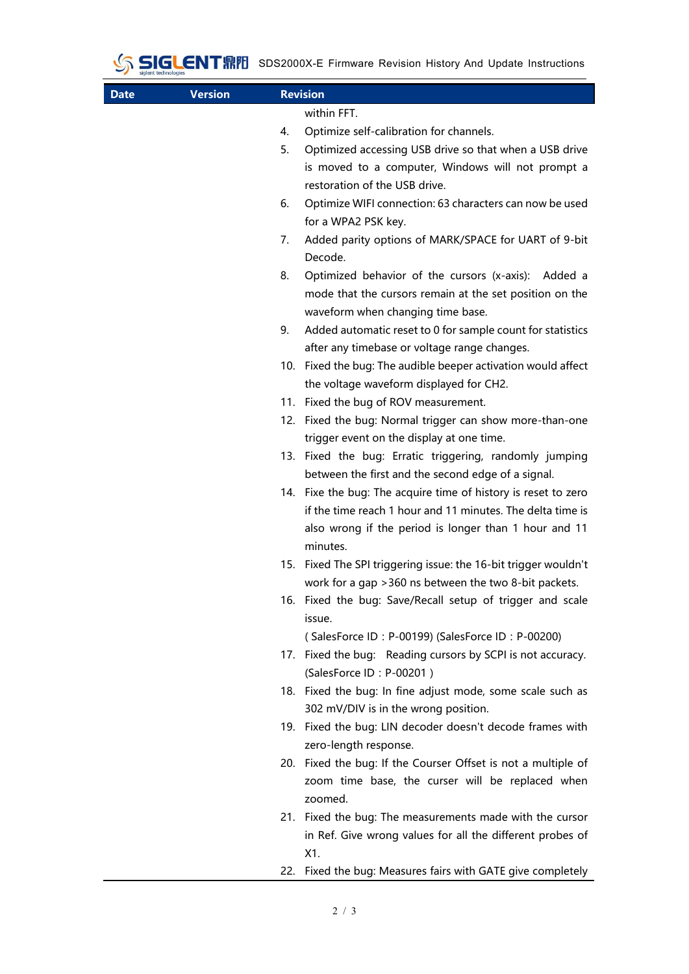

| <b>Date</b> | <b>Version</b> |    | <b>Revision</b>                                                 |
|-------------|----------------|----|-----------------------------------------------------------------|
|             |                |    | within FFT.                                                     |
|             |                | 4. | Optimize self-calibration for channels.                         |
|             |                | 5. | Optimized accessing USB drive so that when a USB drive          |
|             |                |    | is moved to a computer, Windows will not prompt a               |
|             |                |    | restoration of the USB drive.                                   |
|             |                | 6. | Optimize WIFI connection: 63 characters can now be used         |
|             |                |    | for a WPA2 PSK key.                                             |
|             |                | 7. | Added parity options of MARK/SPACE for UART of 9-bit            |
|             |                |    | Decode.                                                         |
|             |                | 8. | Optimized behavior of the cursors (x-axis): Added a             |
|             |                |    | mode that the cursors remain at the set position on the         |
|             |                |    | waveform when changing time base.                               |
|             |                | 9. | Added automatic reset to 0 for sample count for statistics      |
|             |                |    | after any timebase or voltage range changes.                    |
|             |                |    | 10. Fixed the bug: The audible beeper activation would affect   |
|             |                |    | the voltage waveform displayed for CH2.                         |
|             |                |    | 11. Fixed the bug of ROV measurement.                           |
|             |                |    | 12. Fixed the bug: Normal trigger can show more-than-one        |
|             |                |    | trigger event on the display at one time.                       |
|             |                |    | 13. Fixed the bug: Erratic triggering, randomly jumping         |
|             |                |    | between the first and the second edge of a signal.              |
|             |                |    | 14. Fixe the bug: The acquire time of history is reset to zero  |
|             |                |    | if the time reach 1 hour and 11 minutes. The delta time is      |
|             |                |    | also wrong if the period is longer than 1 hour and 11           |
|             |                |    | minutes.                                                        |
|             |                |    | 15. Fixed The SPI triggering issue: the 16-bit trigger wouldn't |
|             |                |    | work for a gap > 360 ns between the two 8-bit packets.          |
|             |                |    | 16. Fixed the bug: Save/Recall setup of trigger and scale       |
|             |                |    | issue.                                                          |
|             |                |    | (SalesForce ID: P-00199) (SalesForce ID: P-00200)               |
|             |                |    | 17. Fixed the bug: Reading cursors by SCPI is not accuracy.     |
|             |                |    | (SalesForce ID: P-00201)                                        |
|             |                |    | 18. Fixed the bug: In fine adjust mode, some scale such as      |
|             |                |    | 302 mV/DIV is in the wrong position.                            |
|             |                |    | 19. Fixed the bug: LIN decoder doesn't decode frames with       |
|             |                |    | zero-length response.                                           |
|             |                |    | 20. Fixed the bug: If the Courser Offset is not a multiple of   |
|             |                |    | zoom time base, the curser will be replaced when                |
|             |                |    | zoomed.                                                         |
|             |                |    | 21. Fixed the bug: The measurements made with the cursor        |
|             |                |    | in Ref. Give wrong values for all the different probes of       |
|             |                |    | X1.                                                             |
|             |                |    | 22. Fixed the bug: Measures fairs with GATE give completely     |